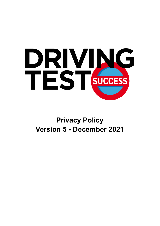

# **Privacy Policy Version 5 - December 2021**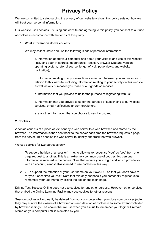# **Privacy Policy**

We are committed to safeguarding the privacy of our website visitors; this policy sets out how we will treat your personal information.

Our website uses cookies. By using our website and agreeing to this policy, you consent to our use of cookies in accordance with the terms of this policy.

# **1. What information do we collect?**

We may collect, store and use the following kinds of personal information:

a. information about your computer and about your visits to and use of this website (including your IP address, geographical location, browser type and version, operating system, referral source, length of visit, page views, and website navigation);

b. information relating to any transactions carried out between you and us on or in relation to this website, including information relating to your activity on this website as well as any purchases you make of our goods or services;

c. information that you provide to us for the purpose of registering with us;

d. information that you provide to us for the purpose of subscribing to our website services, email notifications and/or newsletters;

e. any other information that you choose to send to us; and

### **2. Cookies**

A cookie consists of a piece of text sent by a web server to a web browser, and stored by the browser. The information is then sent back to the server each time the browser requests a page from the server. This enables the web server to identify and track the web browser.

We use cookies for two purposes only:

- 1. To support the idea of a "session"  $-$  i.e. to allow us to recognise "you" as "you" from one page request to another. This is an extremely common use of cookies. No personal information is retained in the cookie. Sites that require you to login and which provide you with an account, almost always need to use cookies in this way.
- 2. 2. To support the retention of your user name on your own PC, so that you don't have to re-type it each time you visit. Note that this only happens if you personally request us to remember your username by ticking the box on the login page.

Driving Test Success Online does not use cookies for any other purpose. However, other services that embed the Online Learning Facility may use cookies for other reasons.

Session cookies will ordinarily be deleted from your computer when you close your browser (note they may survive the closure of a browser tab) and deletion of cookies is to some extent controlled by browser settings. The cookie that we use when you ask us to remember your login will remain stored on your computer until it is deleted by you.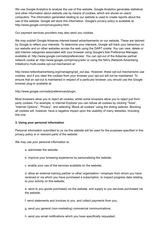We use Google Analytics to analyse the use of this website. Google Analytics generates statistical and other information about website use by means of cookies, which are stored on users' computers. The information generated relating to our website is used to create reports about the use of the website. Google will store this information. Google's privacy policy is available at: http://www.google.com/privacypolicy.html.

Our payment services providers may also send you cookies.

We may publish Google Adsense interest-based advertisements on our website. These are tailored by Google to reflect your interests. To determine your interests, Google will track your behaviour on our website and on other websites across the web using the DART cookie. You can view, delete or add interest categories associated with your browser using Google's Ads Preference Manager, available at: http://www.google.com/ads/preferences/. You can opt-out of the Adsense partner network cookie at: http://www.google.com/privacy/ads/ or using the NAI's (Network Advertising Initiative's) multi-cookie opt-out mechanism at:

http://www.networkadvertising.org/managing/opt\_out.asp. However, these opt-out mechanisms use cookies, and if you clear the cookies from your browser your opt-out will not be maintained. To ensure that an opt-out is maintained in respect of a particular browser, you should use the Google browser plug-in available at:

http://www.google.com/ads/preferences/plugin.

Most browsers allow you to reject all cookies, whilst some browsers allow you to reject just third party cookies. For example, in Internet Explorer you can refuse all cookies by clicking "Tools", "Internet Options", "Privacy", and selecting "Block all cookies" using the sliding selector. Blocking all cookies will, however, have a negative impact upon the usability of many websites, including this one.

### **3. Using your personal information**

Personal information submitted to us via this website will be used for the purposes specified in this privacy policy or in relevant parts of the website.

We may use your personal information to:

- a. administer the website;
- b. improve your browsing experience by personalising the website;
- c. enable your use of the services available on the website;

d. allow an external training partner or other organisation / employer from whom you have received or via which you have purchased a subscription, to inspect progress data relating to your activity on this website;

e. send to you goods purchased via the website, and supply to you services purchased via the website;

f. send statements and invoices to you, and collect payments from you;

- g. send you general (non-marketing) commercial communications;
- h. send you email notifications which you have specifically requested;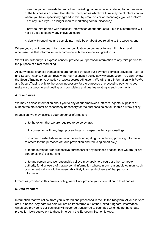i. send to you our newsletter and other marketing communications relating to our business or the businesses of carefully-selected third parties which we think may be of interest to you where you have specifically agreed to this, by email or similar technology (you can inform us at any time if you no longer require marketing communications);

j. provide third parties with statistical information about our users – but this information will not be used to identify any individual user;

k. deal with enquiries and complaints made by or about you relating to the website; and

Where you submit personal information for publication on our website, we will publish and otherwise use that information in accordance with the licence you grant to us.

We will not without your express consent provide your personal information to any third parties for the purpose of direct marketing.

All our website financial transactions are handled through our payment services providers, PayPal and SecureTrading. You can review the PayPal privacy policy at www.paypal.com. You can review the SecureTrading privacy policy at www.securetrading.com. We will share information with PayPal and SecureTrading only to the extent necessary for the purposes of processing payments you make via our website and dealing with complaints and queries relating to such payments.

### **4. Disclosures**

We may disclose information about you to any of our employees, officers, agents, suppliers or subcontractors insofar as reasonably necessary for the purposes as set out in this privacy policy.

In addition, we may disclose your personal information:

- a. to the extent that we are required to do so by law;
- b. in connection with any legal proceedings or prospective legal proceedings;

c. in order to establish, exercise or defend our legal rights (including providing information to others for the purposes of fraud prevention and reducing credit risk);

d. to the purchaser (or prospective purchaser) of any business or asset that we are (or are contemplating) selling; and

e. to any person who we reasonably believe may apply to a court or other competent authority for disclosure of that personal information where, in our reasonable opinion, such court or authority would be reasonably likely to order disclosure of that personal information.

Except as provided in this privacy policy, we will not provide your information to third parties.

### **5. Data transfers**

Information that we collect from you is stored and processed in the United Kingdom. All our servers are UK based. Any data we hold will not be transferred out of the United Kingdom. Information which you provide to our business will never be transferred to countries which do not have data protection laws equivalent to those in force in the European Economic Area.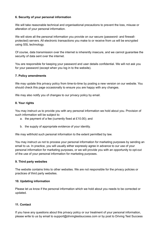# **6. Security of your personal information**

We will take reasonable technical and organisational precautions to prevent the loss, misuse or alteration of your personal information.

We will store all the personal information you provide on our secure (password- and firewallprotected) servers. All electronic transactions you make to or receive from us will be encrypted using SSL technology.

Of course, data transmission over the internet is inherently insecure, and we cannot guarantee the security of data sent over the internet.

You are responsible for keeping your password and user details confidential. We will not ask you for your password (except when you log in to the website).

### **7. Policy amendments**

We may update this privacy policy from time-to-time by posting a new version on our website. You should check this page occasionally to ensure you are happy with any changes.

We may also notify you of changes to our privacy policy by email.

#### **8. Your rights**

You may instruct us to provide you with any personal information we hold about you. Provision of such information will be subject to:

- a. the payment of a fee (currently fixed at £10.00); and
- b. the supply of appropriate evidence of your identity.

We may withhold such personal information to the extent permitted by law.

You may instruct us not to process your personal information for marketing purposes by sending an email to us. In practice, you will usually either expressly agree in advance to our use of your personal information for marketing purposes, or we will provide you with an opportunity to opt-out of the use of your personal information for marketing purposes.

#### **9. Third party websites**

The website contains links to other websites. We are not responsible for the privacy policies or practices of third party websites.

#### **10. Updating information**

Please let us know if the personal information which we hold about you needs to be corrected or updated.

#### **11. Contact**

If you have any questions about this privacy policy or our treatment of your personal information, please write to us by email to support@drivingtestsuccess.com or by post to Driving Test Success